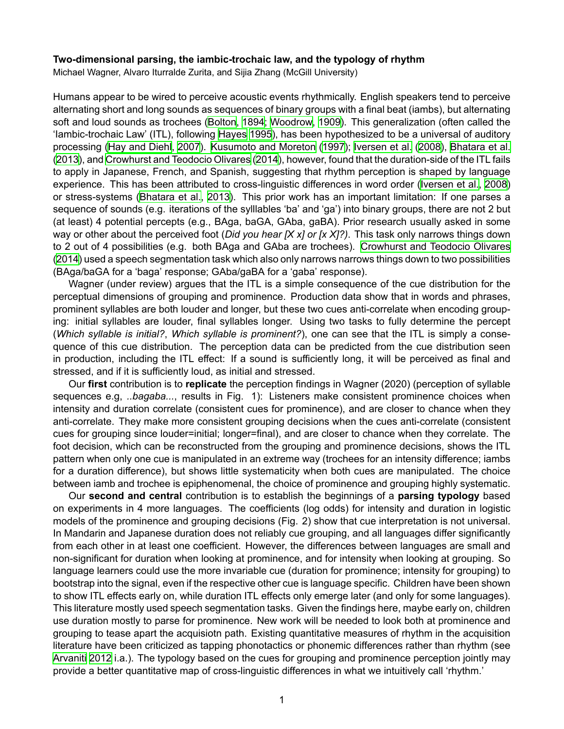## Two-dimensional parsing, the iambic-trochaic law, and the typology of rhythm

Michael Wagner, Alvaro Iturralde Zurita, and Sijia Zhang (McGill University)

Humans appear to be wired to perceive acoustic events rhythmically. English speakers tend to perceive alternating short and long sounds as sequences of binary groups with a final beat (iambs), but alternating soft and loud sounds as trochees([Bolton,](#page--1-0) [1894](#page--1-0); [Woodrow](#page--1-1), [1909\)](#page--1-1). This generalization (often called the 'Iambic-trochaic Law' (ITL), following [Hayes](#page--1-2) [1995](#page--1-2)), has been hypothesized to be a universal of auditory processing [\(Hay and Diehl,](#page--1-3) [2007](#page--1-3)). [Kusumoto and Moreton](#page--1-4) [\(1997](#page--1-4)); [Iversen et al.](#page--1-5) [\(2008\)](#page--1-5), [Bhatara et al.](#page--1-6) [\(2013\)](#page--1-6), and [Crowhurst and Teodocio Olivares](#page--1-7) ([2014](#page--1-7)), however, found that the duration-side of the ITL fails to apply in Japanese, French, and Spanish, suggesting that rhythm perception is shaped by language experience.This has been attributed to cross-linguistic differences in word order ([Iversen et al.](#page--1-5), [2008\)](#page--1-5) orstress-systems ([Bhatara et al.](#page--1-6), [2013\)](#page--1-6). This prior work has an important limitation: If one parses a sequence of sounds (e.g. iterations of the sylllables 'ba' and 'ga') into binary groups, there are not 2 but (at least) 4 potential percepts (e.g., BAga, baGA, GAba, gaBA). Prior research usually asked in some way or other about the perceived foot (*Did you hear [X x] or [x X]?)*. This task only narrows things down to 2 out of 4 possibilities (e.g. both BAga and GAba are trochees). [Crowhurst and Teodocio Olivares](#page--1-7) [\(2014\)](#page--1-7) used a speech segmentation task which also only narrows narrows things down to two possibilities (BAga/baGA for a 'baga' response; GAba/gaBA for a 'gaba' response).

Wagner (under review) argues that the ITL is a simple consequence of the cue distribution for the perceptual dimensions of grouping and prominence. Production data show that in words and phrases, prominent syllables are both louder and longer, but these two cues anti-correlate when encoding grouping: initial syllables are louder, final syllables longer. Using two tasks to fully determine the percept (*Which syllable is initial?*, *Which syllable is prominent?*), one can see that the ITL is simply a consequence of this cue distribution. The perception data can be predicted from the cue distribution seen in production, including the ITL effect: If a sound is sufficiently long, it will be perceived as final and stressed, and if it is sufficiently loud, as initial and stressed.

Our **first** contribution is to **replicate** the perception findings in Wagner (2020) (perception of syllable sequences e.g, *..bagaba...*, results in Fig. 1): Listeners make consistent prominence choices when intensity and duration correlate (consistent cues for prominence), and are closer to chance when they anti-correlate. They make more consistent grouping decisions when the cues anti-correlate (consistent cues for grouping since louder=initial; longer=final), and are closer to chance when they correlate. The foot decision, which can be reconstructed from the grouping and prominence decisions, shows the ITL pattern when only one cue is manipulated in an extreme way (trochees for an intensity difference; iambs for a duration difference), but shows little systematicity when both cues are manipulated. The choice between iamb and trochee is epiphenomenal, the choice of prominence and grouping highly systematic.

Our **second and central** contribution is to establish the beginnings of a **parsing typology** based on experiments in 4 more languages. The coefficients (log odds) for intensity and duration in logistic models of the prominence and grouping decisions (Fig. 2) show that cue interpretation is not universal. In Mandarin and Japanese duration does not reliably cue grouping, and all languages differ significantly from each other in at least one coefficient. However, the differences between languages are small and non-significant for duration when looking at prominence, and for intensity when looking at grouping. So language learners could use the more invariable cue (duration for prominence; intensity for grouping) to bootstrap into the signal, even if the respective other cue is language specific. Children have been shown to show ITL effects early on, while duration ITL effects only emerge later (and only for some languages). This literature mostly used speech segmentation tasks. Given the findings here, maybe early on, children use duration mostly to parse for prominence. New work will be needed to look both at prominence and grouping to tease apart the acquisiotn path. Existing quantitative measures of rhythm in the acquisition literature have been criticized as tapping phonotactics or phonemic differences rather than rhythm (see [Arvaniti](#page--1-8) [2012](#page--1-8) i.a.). The typology based on the cues for grouping and prominence perception jointly may provide a better quantitative map of cross-linguistic differences in what we intuitively call 'rhythm.'